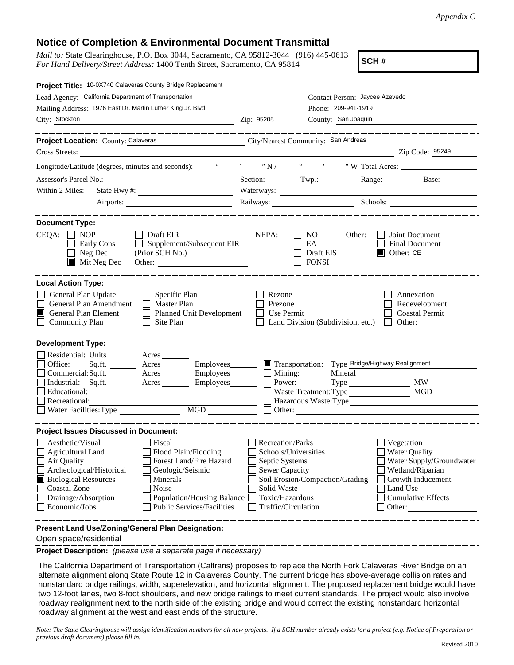## **Notice of Completion & Environmental Document Transmittal**

*Mail to:* State Clearinghouse, P.O. Box 3044, Sacramento, CA 95812-3044 (916) 445-0613 *For Hand Delivery/Street Address:* 1400 Tenth Street, Sacramento, CA 95814

**SCH #**

| Project Title: 10-0X740 Calaveras County Bridge Replacement                                                                                                                                                                                                                                                                                             |                                                                                                                                              |                                                                                                                  |                                                                                                                                                            |  |
|---------------------------------------------------------------------------------------------------------------------------------------------------------------------------------------------------------------------------------------------------------------------------------------------------------------------------------------------------------|----------------------------------------------------------------------------------------------------------------------------------------------|------------------------------------------------------------------------------------------------------------------|------------------------------------------------------------------------------------------------------------------------------------------------------------|--|
| Lead Agency: California Department of Transportation                                                                                                                                                                                                                                                                                                    |                                                                                                                                              | Contact Person: Jaycee Azevedo                                                                                   |                                                                                                                                                            |  |
| Mailing Address: 1976 East Dr. Martin Luther King Jr. Blvd                                                                                                                                                                                                                                                                                              |                                                                                                                                              | Phone: 209-941-1919                                                                                              |                                                                                                                                                            |  |
| City: Stockton                                                                                                                                                                                                                                                                                                                                          | Zip: 95205                                                                                                                                   | County: San Joaquin                                                                                              |                                                                                                                                                            |  |
|                                                                                                                                                                                                                                                                                                                                                         |                                                                                                                                              |                                                                                                                  |                                                                                                                                                            |  |
| <b>Project Location: County: Calaveras</b>                                                                                                                                                                                                                                                                                                              |                                                                                                                                              | City/Nearest Community: San Andreas                                                                              |                                                                                                                                                            |  |
| Cross Streets:                                                                                                                                                                                                                                                                                                                                          |                                                                                                                                              |                                                                                                                  | Zip Code: 95249                                                                                                                                            |  |
|                                                                                                                                                                                                                                                                                                                                                         |                                                                                                                                              |                                                                                                                  |                                                                                                                                                            |  |
| Assessor's Parcel No.:<br><u> 1989 - Johann Barn, mars ann an t-Amhain Aonaich an t-Aonaich an t-Aonaich ann an t-Aonaich ann an t-Aonaich</u>                                                                                                                                                                                                          |                                                                                                                                              |                                                                                                                  | Section: Twp.: Twp.: Range: Base:                                                                                                                          |  |
| Within 2 Miles:                                                                                                                                                                                                                                                                                                                                         |                                                                                                                                              |                                                                                                                  |                                                                                                                                                            |  |
|                                                                                                                                                                                                                                                                                                                                                         |                                                                                                                                              |                                                                                                                  | Railways: Schools: Schools:                                                                                                                                |  |
|                                                                                                                                                                                                                                                                                                                                                         |                                                                                                                                              |                                                                                                                  |                                                                                                                                                            |  |
| <b>Document Type:</b><br>$CEQA: \Box NP$<br>Draft EIR<br>Supplement/Subsequent EIR<br>Early Cons<br>$\Box$ Neg Dec<br>$\blacksquare$ Mit Neg Dec                                                                                                                                                                                                        | NEPA:                                                                                                                                        | <b>NOI</b><br>Other:<br>EA<br>Draft EIS<br><b>FONSI</b>                                                          | Joint Document<br>Final Document<br>Other: CE<br>I ELI                                                                                                     |  |
| <b>Local Action Type:</b><br>General Plan Update<br>$\Box$ Specific Plan<br>General Plan Amendment<br>$\Box$ Master Plan<br><b>General Plan Element</b><br>Planned Unit Development<br>IП<br><b>Community Plan</b><br>$\Box$ Site Plan                                                                                                                  | Rezone<br>Prezone<br>Use Permit                                                                                                              | Land Division (Subdivision, etc.) $\Box$ Other:                                                                  | Annexation<br>Redevelopment<br><b>Coastal Permit</b>                                                                                                       |  |
| <b>Development Type:</b>                                                                                                                                                                                                                                                                                                                                |                                                                                                                                              |                                                                                                                  |                                                                                                                                                            |  |
| Residential: Units ________ Acres _______<br>Acres __________ Employees________<br>Office:<br>Sq.fit.<br>Commercial:Sq.ft. ________ Acres __________ Employees_________ $\Box$<br>Industrial: Sq.ft. _______ Acres _______ Employees_______  <br>Educational:<br>Recreational:<br>MGD<br>Water Facilities: Type                                         | Power:                                                                                                                                       | Transportation: Type Bridge/Highway Realignment<br>Mineral<br>Mining:<br>Type<br>Waste Treatment: Type<br>Other: | <b>MW</b><br>MGD<br>Hazardous Waste:Type                                                                                                                   |  |
| <b>Project Issues Discussed in Document:</b>                                                                                                                                                                                                                                                                                                            |                                                                                                                                              |                                                                                                                  |                                                                                                                                                            |  |
| Aesthetic/Visual<br>Fiscal<br>Agricultural Land<br>Flood Plain/Flooding<br>Forest Land/Fire Hazard<br>Air Quality<br>Archeological/Historical<br>Geologic/Seismic<br><b>Biological Resources</b><br>Minerals<br><b>Coastal Zone</b><br>Noise<br>Drainage/Absorption<br>Population/Housing Balance<br>Economic/Jobs<br><b>Public Services/Facilities</b> | <b>Recreation/Parks</b><br>Schools/Universities<br>Septic Systems<br>Sewer Capacity<br>Solid Waste<br>Toxic/Hazardous<br>Traffic/Circulation | Soil Erosion/Compaction/Grading                                                                                  | Vegetation<br><b>Water Quality</b><br>Water Supply/Groundwater<br>Wetland/Riparian<br>Growth Inducement<br>Land Use<br><b>Cumulative Effects</b><br>Other: |  |
| Present Land Use/Zoning/General Plan Designation:                                                                                                                                                                                                                                                                                                       |                                                                                                                                              |                                                                                                                  |                                                                                                                                                            |  |

Open space/residential

**Project Description:** *(please use a separate page if necessary)*

The California Department of Transportation (Caltrans) proposes to replace the North Fork Calaveras River Bridge on an alternate alignment along State Route 12 in Calaveras County. The current bridge has above-average collision rates and nonstandard bridge railings, width, superelevation, and horizontal alignment. The proposed replacement bridge would have two 12-foot lanes, two 8-foot shoulders, and new bridge railings to meet current standards. The project would also involve roadway realignment next to the north side of the existing bridge and would correct the existing nonstandard horizontal roadway alignment at the west and east ends of the structure.

*Note: The State Clearinghouse will assign identification numbers for all new projects. If a SCH number already exists for a project (e.g. Notice of Preparation or previous draft document) please fill in.*